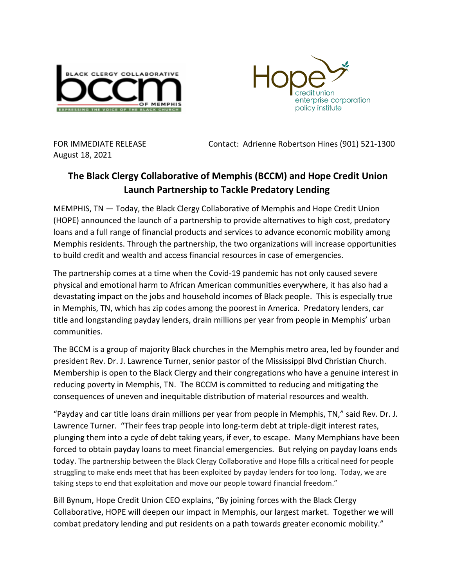



August 18, 2021

FOR IMMEDIATE RELEASE Contact: Adrienne Robertson Hines (901) 521-1300

## **The Black Clergy Collaborative of Memphis (BCCM) and Hope Credit Union Launch Partnership to Tackle Predatory Lending**

MEMPHIS, TN — Today, the Black Clergy Collaborative of Memphis and Hope Credit Union (HOPE) announced the launch of a partnership to provide alternatives to high cost, predatory loans and a full range of financial products and services to advance economic mobility among Memphis residents. Through the partnership, the two organizations will increase opportunities to build credit and wealth and access financial resources in case of emergencies.

The partnership comes at a time when the Covid-19 pandemic has not only caused severe physical and emotional harm to African American communities everywhere, it has also had a devastating impact on the jobs and household incomes of Black people. This is especially true in Memphis, TN, which has zip codes among the poorest in America. Predatory lenders, car title and longstanding payday lenders, drain millions per year from people in Memphis' urban communities.

The BCCM is a group of majority Black churches in the Memphis metro area, led by founder and president Rev. Dr. J. Lawrence Turner, senior pastor of the Mississippi Blvd Christian Church. Membership is open to the Black Clergy and their congregations who have a genuine interest in reducing poverty in Memphis, TN. The BCCM is committed to reducing and mitigating the consequences of uneven and inequitable distribution of material resources and wealth.

"Payday and car title loans drain millions per year from people in Memphis, TN," said Rev. Dr. J. Lawrence Turner. "Their fees trap people into long-term debt at triple-digit interest rates, plunging them into a cycle of debt taking years, if ever, to escape. Many Memphians have been forced to obtain payday loans to meet financial emergencies. But relying on payday loans ends today. The partnership between the Black Clergy Collaborative and Hope fills a critical need for people struggling to make ends meet that has been exploited by payday lenders for too long. Today, we are taking steps to end that exploitation and move our people toward financial freedom."

Bill Bynum, Hope Credit Union CEO explains, "By joining forces with the Black Clergy Collaborative, HOPE will deepen our impact in Memphis, our largest market. Together we will combat predatory lending and put residents on a path towards greater economic mobility."